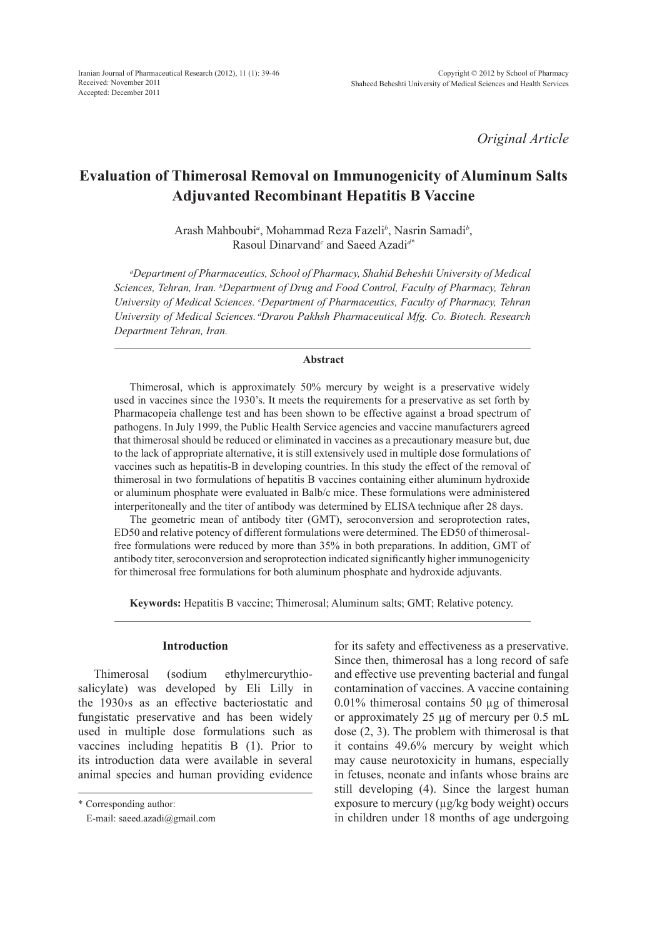*Original Article*

# **Evaluation of Thimerosal Removal on Immunogenicity of Aluminum Salts Adjuvanted Recombinant Hepatitis B Vaccine**

Arash Mahboubi*<sup>a</sup>* , Mohammad Reza Fazeli*<sup>b</sup>* , Nasrin Samadi*<sup>b</sup>* , Rasoul Dinarvand*<sup>c</sup>* and Saeed Azadi*d\**

*a Department of Pharmaceutics, School of Pharmacy, Shahid Beheshti University of Medical Sciences, Tehran, Iran. b Department of Drug and Food Control, Faculty of Pharmacy, Tehran University of Medical Sciences. c Department of Pharmaceutics, Faculty of Pharmacy, Tehran University of Medical Sciences. dDrarou Pakhsh Pharmaceutical Mfg. Co. Biotech. Research Department Tehran, Iran.* 

## **Abstract**

Thimerosal, which is approximately 50% mercury by weight is a preservative widely used in vaccines since the 1930's. It meets the requirements for a preservative as set forth by Pharmacopeia challenge test and has been shown to be effective against a broad spectrum of pathogens. In July 1999, the Public Health Service agencies and vaccine manufacturers agreed that thimerosal should be reduced or eliminated in vaccines as a precautionary measure but, due to the lack of appropriate alternative, it is still extensively used in multiple dose formulations of vaccines such as hepatitis-B in developing countries. In this study the effect of the removal of thimerosal in two formulations of hepatitis B vaccines containing either aluminum hydroxide or aluminum phosphate were evaluated in Balb/c mice. These formulations were administered interperitoneally and the titer of antibody was determined by ELISA technique after 28 days.

The geometric mean of antibody titer (GMT), seroconversion and seroprotection rates, ED50 and relative potency of different formulations were determined. The ED50 of thimerosalfree formulations were reduced by more than 35% in both preparations. In addition, GMT of antibody titer, seroconversion and seroprotection indicated significantly higher immunogenicity for thimerosal free formulations for both aluminum phosphate and hydroxide adjuvants.

**Keywords:** Hepatitis B vaccine; Thimerosal; Aluminum salts; GMT; Relative potency.

## **Introduction**

Thimerosal (sodium ethylmercurythiosalicylate) was developed by Eli Lilly in the 1930›s as an effective bacteriostatic and fungistatic preservative and has been widely used in multiple dose formulations such as vaccines including hepatitis B (1). Prior to its introduction data were available in several animal species and human providing evidence

\* Corresponding author:

for its safety and effectiveness as a preservative. Since then, thimerosal has a long record of safe and effective use preventing bacterial and fungal contamination of vaccines. A vaccine containing 0.01% thimerosal contains 50 µg of thimerosal or approximately 25 µg of mercury per 0.5 mL dose (2, 3). The problem with thimerosal is that it contains 49.6% mercury by weight which may cause neurotoxicity in humans, especially in fetuses, neonate and infants whose brains are still developing (4). Since the largest human exposure to mercury (µg/kg body weight) occurs in children under 18 months of age undergoing

E-mail: saeed.azadi@gmail.com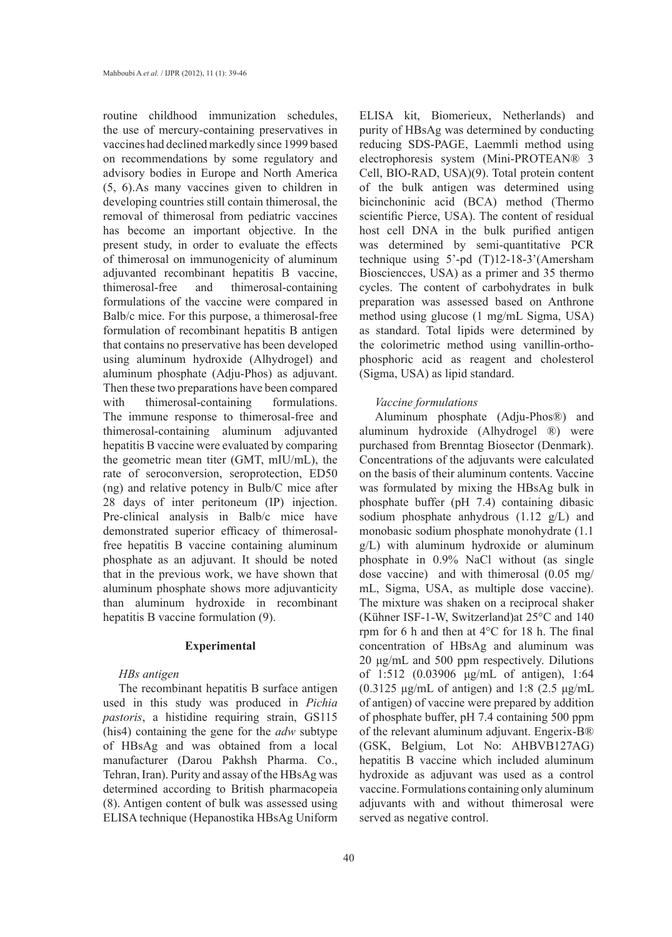routine childhood immunization schedules, the use of mercury-containing preservatives in vaccines had declined markedly since 1999 based on recommendations by some regulatory and advisory bodies in Europe and North America (5, 6).As many vaccines given to children in developing countries still contain thimerosal, the removal of thimerosal from pediatric vaccines has become an important objective. In the present study, in order to evaluate the effects of thimerosal on immunogenicity of aluminum adjuvanted recombinant hepatitis B vaccine, thimerosal-free and thimerosal-containing formulations of the vaccine were compared in Balb/c mice. For this purpose, a thimerosal-free formulation of recombinant hepatitis B antigen that contains no preservative has been developed using aluminum hydroxide (Alhydrogel) and aluminum phosphate (Adju-Phos) as adjuvant. Then these two preparations have been compared with thimerosal-containing formulations. The immune response to thimerosal-free and thimerosal-containing aluminum adjuvanted hepatitis B vaccine were evaluated by comparing the geometric mean titer (GMT, mIU/mL), the rate of seroconversion, seroprotection, ED50 (ng) and relative potency in Bulb/C mice after 28 days of inter peritoneum (IP) injection. Pre-clinical analysis in Balb/c mice have demonstrated superior efficacy of thimerosalfree hepatitis B vaccine containing aluminum phosphate as an adjuvant. It should be noted that in the previous work, we have shown that aluminum phosphate shows more adjuvanticity than aluminum hydroxide in recombinant hepatitis B vaccine formulation (9).

#### **Experimental**

#### *HBs antigen*

The recombinant hepatitis B surface antigen used in this study was produced in *Pichia pastoris*, a histidine requiring strain, GS115 (his4) containing the gene for the *adw* subtype of HBsAg and was obtained from a local manufacturer (Darou Pakhsh Pharma. Co., Tehran, Iran). Purity and assay of the HBsAg was determined according to British pharmacopeia (8). Antigen content of bulk was assessed using ELISA technique (Hepanostika HBsAg Uniform ELISA kit, Biomerieux, Netherlands) and purity of HBsAg was determined by conducting reducing SDS-PAGE, Laemmli method using electrophoresis system (Mini-PROTEAN® 3 Cell, BIO-RAD, USA)(9). Total protein content of the bulk antigen was determined using bicinchoninic acid (BCA) method (Thermo scientific Pierce, USA). The content of residual host cell DNA in the bulk purified antigen was determined by semi-quantitative PCR technique using 5'-pd (T)12-18-3'(Amersham Biosciencces, USA) as a primer and 35 thermo cycles. The content of carbohydrates in bulk preparation was assessed based on Anthrone method using glucose (1 mg/mL Sigma, USA) as standard. Total lipids were determined by the colorimetric method using vanillin-orthophosphoric acid as reagent and cholesterol (Sigma, USA) as lipid standard.

## *Vaccine formulations*

Aluminum phosphate (Adju-Phos®) and aluminum hydroxide (Alhydrogel ®) were purchased from Brenntag Biosector (Denmark). Concentrations of the adjuvants were calculated on the basis of their aluminum contents. Vaccine was formulated by mixing the HBsAg bulk in phosphate buffer (pH 7.4) containing dibasic sodium phosphate anhydrous  $(1.12 \text{ g/L})$  and monobasic sodium phosphate monohydrate (1.1 g/L) with aluminum hydroxide or aluminum phosphate in 0.9% NaCl without (as single dose vaccine) and with thimerosal (0.05 mg/ mL, Sigma, USA, as multiple dose vaccine). The mixture was shaken on a reciprocal shaker (Kühner ISF-1-W, Switzerland)at 25°C and 140 rpm for 6 h and then at 4°C for 18 h. The final concentration of HBsAg and aluminum was 20 μg/mL and 500 ppm respectively. Dilutions of 1:512 (0.03906 μg/mL of antigen), 1:64 (0.3125 μg/mL of antigen) and 1:8 (2.5 μg/mL of antigen) of vaccine were prepared by addition of phosphate buffer, pH 7.4 containing 500 ppm of the relevant aluminum adjuvant. Engerix-B® (GSK, Belgium, Lot No: AHBVB127AG) hepatitis B vaccine which included aluminum hydroxide as adjuvant was used as a control vaccine. Formulations containing only aluminum adjuvants with and without thimerosal were served as negative control.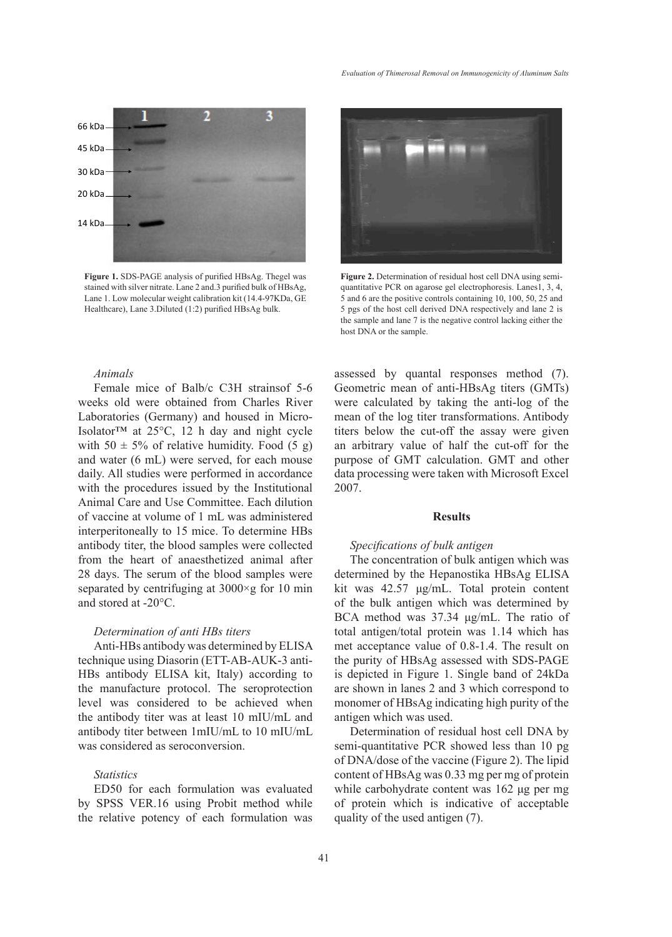

**Figure 1.** SDS-PAGE analysis of purified HBsAg. Thegel was stained with silver nitrate. Lane 2 and.3 purified bulk of HBsAg, Lane 1. Low molecular weight calibration kit (14.4-97KDa, GE Healthcare), Lane 3.Diluted (1:2) purified HBsAg bulk.

# *Animals*

Female mice of Balb/c C3H strainsof 5-6 weeks old were obtained from Charles River Laboratories (Germany) and housed in Micro-Isolator™ at 25°C, 12 h day and night cycle with  $50 \pm 5\%$  of relative humidity. Food (5 g) and water (6 mL) were served, for each mouse daily. All studies were performed in accordance with the procedures issued by the Institutional Animal Care and Use Committee. Each dilution of vaccine at volume of 1 mL was administered interperitoneally to 15 mice. To determine HBs antibody titer, the blood samples were collected from the heart of anaesthetized animal after 28 days. The serum of the blood samples were separated by centrifuging at 3000×g for 10 min and stored at -20°C.

#### *Determination of anti HBs titers*

Anti-HBs antibody was determined by ELISA technique using Diasorin (ETT-AB-AUK-3 anti-HBs antibody ELISA kit, Italy) according to the manufacture protocol. The seroprotection level was considered to be achieved when the antibody titer was at least 10 mIU/mL and antibody titer between 1mIU/mL to 10 mIU/mL was considered as seroconversion.

### *Statistics*

ED50 for each formulation was evaluated by SPSS VER.16 using Probit method while the relative potency of each formulation was



**Figure 2.** Determination of residual host cell DNA using semiquantitative PCR on agarose gel electrophoresis. Lanes1, 3, 4, 5 and 6 are the positive controls containing 10, 100, 50, 25 and 5 pgs of the host cell derived DNA respectively and lane 2 is the sample and lane 7 is the negative control lacking either the host DNA or the sample.

assessed by quantal responses method (7). Geometric mean of anti-HBsAg titers (GMTs) were calculated by taking the anti-log of the mean of the log titer transformations. Antibody titers below the cut-off the assay were given an arbitrary value of half the cut-off for the purpose of GMT calculation. GMT and other data processing were taken with Microsoft Excel 2007.

## **Results**

## *Specifications of bulk antigen*

The concentration of bulk antigen which was determined by the Hepanostika HBsAg ELISA kit was 42.57 μg/mL. Total protein content of the bulk antigen which was determined by BCA method was 37.34 μg/mL. The ratio of total antigen/total protein was 1.14 which has met acceptance value of 0.8-1.4. The result on the purity of HBsAg assessed with SDS-PAGE is depicted in Figure 1. Single band of 24kDa are shown in lanes 2 and 3 which correspond to monomer of HBsAg indicating high purity of the antigen which was used.

Determination of residual host cell DNA by semi-quantitative PCR showed less than 10 pg of DNA/dose of the vaccine (Figure 2). The lipid content of HBsAg was 0.33 mg per mg of protein while carbohydrate content was 162 μg per mg of protein which is indicative of acceptable quality of the used antigen (7).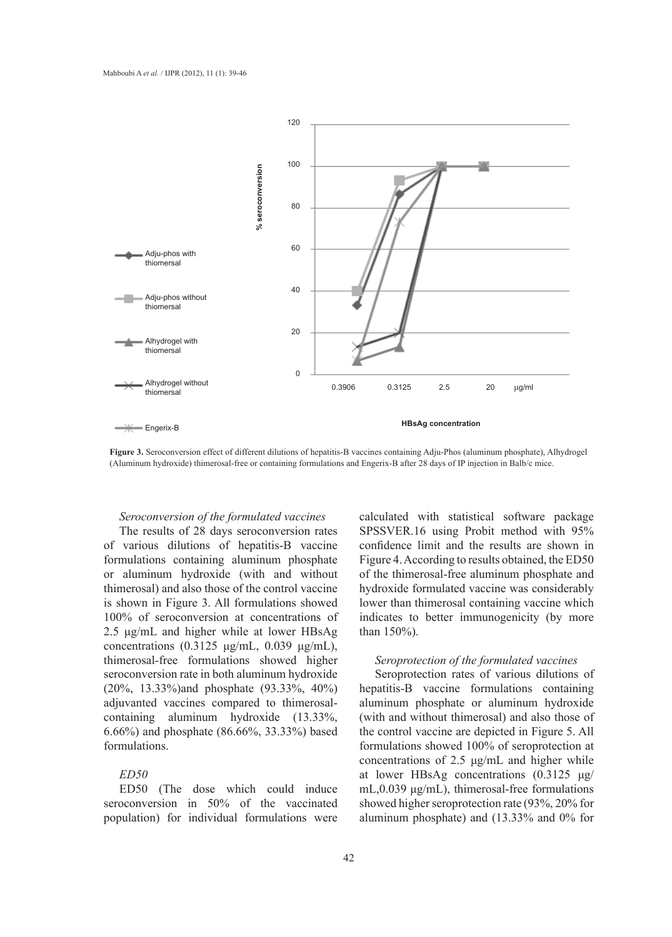

**Figure 3.** Seroconversion effect of different dilutions of hepatitis-B vaccines containing Adju-Phos (aluminum phosphate), Alhydrogel (Aluminum hydroxide) thimerosal-free or containing formulations and Engerix-B after 28 days of IP injection in Balb/c mice.

## *Seroconversion of the formulated vaccines*

The results of 28 days seroconversion rates of various dilutions of hepatitis-B vaccine formulations containing aluminum phosphate or aluminum hydroxide (with and without thimerosal) and also those of the control vaccine is shown in Figure 3. All formulations showed 100% of seroconversion at concentrations of 2.5 μg/mL and higher while at lower HBsAg concentrations  $(0.3125 \text{ μg/mL}, 0.039 \text{ μg/mL}),$ thimerosal-free formulations showed higher seroconversion rate in both aluminum hydroxide (20%, 13.33%)and phosphate (93.33%, 40%) adjuvanted vaccines compared to thimerosalcontaining aluminum hydroxide (13.33%, 6.66%) and phosphate (86.66%, 33.33%) based formulations.

## *ED50*

ED50 (The dose which could induce seroconversion in 50% of the vaccinated population) for individual formulations were

calculated with statistical software package SPSSVER.16 using Probit method with 95% confidence limit and the results are shown in Figure 4. According to results obtained, the ED50 of the thimerosal-free aluminum phosphate and hydroxide formulated vaccine was considerably lower than thimerosal containing vaccine which indicates to better immunogenicity (by more than 150%).

### *Seroprotection of the formulated vaccines*

Seroprotection rates of various dilutions of hepatitis-B vaccine formulations containing aluminum phosphate or aluminum hydroxide (with and without thimerosal) and also those of the control vaccine are depicted in Figure 5. All formulations showed 100% of seroprotection at concentrations of 2.5 μg/mL and higher while at lower HBsAg concentrations (0.3125 μg/ mL,0.039 μg/mL), thimerosal-free formulations showed higher seroprotection rate (93%, 20% for aluminum phosphate) and (13.33% and 0% for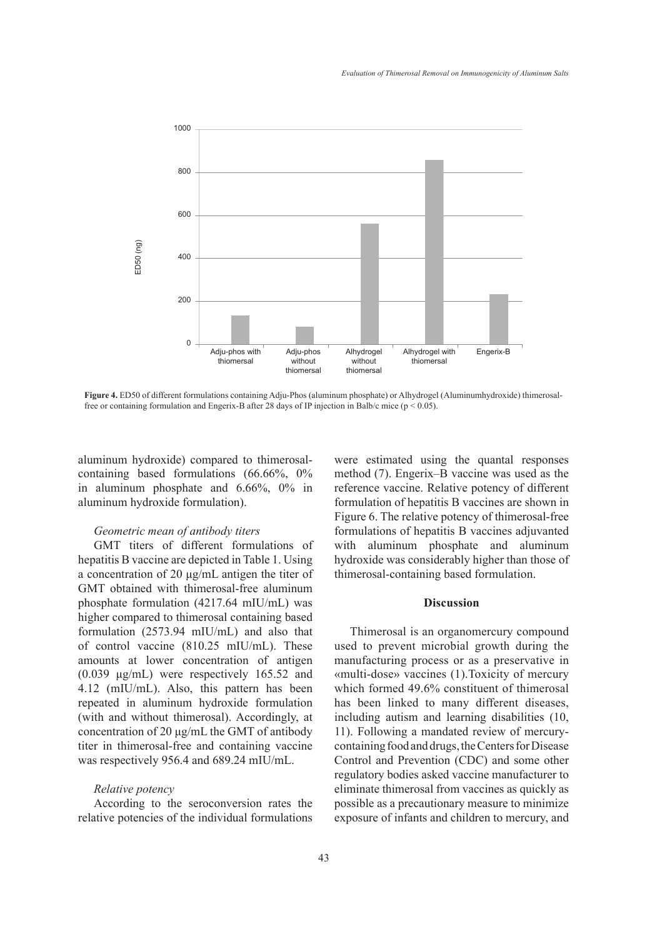

**Figure 4.** ED50 of different formulations containing Adju-Phos (aluminum phosphate) or Alhydrogel (Aluminumhydroxide) thimerosal-

aluminum hydroxide) compared to thimerosalcontaining based formulations (66.66%, 0% in aluminum phosphate and 6.66%, 0% in aluminum hydroxide formulation).

## *Geometric mean of antibody titers*

GMT titers of different formulations of hepatitis B vaccine are depicted in Table 1. Using a concentration of 20 μg/mL antigen the titer of GMT obtained with thimerosal-free aluminum phosphate formulation (4217.64 mIU/mL) was higher compared to thimerosal containing based formulation (2573.94 mIU/mL) and also that of control vaccine (810.25 mIU/mL). These amounts at lower concentration of antigen (0.039 μg/mL) were respectively 165.52 and 4.12 (mIU/mL). Also, this pattern has been repeated in aluminum hydroxide formulation (with and without thimerosal). Accordingly, at concentration of 20 μg/mL the GMT of antibody titer in thimerosal-free and containing vaccine was respectively 956.4 and 689.24 mIU/mL.

#### *Relative potency*

According to the seroconversion rates the relative potencies of the individual formulations were estimated using the quantal responses method (7). Engerix–B vaccine was used as the reference vaccine. Relative potency of different formulation of hepatitis B vaccines are shown in Figure 6. The relative potency of thimerosal-free formulations of hepatitis B vaccines adjuvanted with aluminum phosphate and aluminum hydroxide was considerably higher than those of thimerosal-containing based formulation.

#### **Discussion**

Thimerosal is an organomercury compound used to prevent microbial growth during the manufacturing process or as a preservative in «multi-dose» vaccines (1).Toxicity of mercury which formed 49.6% constituent of thimerosal has been linked to many different diseases, including autism and learning disabilities (10, 11). Following a mandated review of mercurycontaining food and drugs, the Centers for Disease Control and Prevention (CDC) and some other regulatory bodies asked vaccine manufacturer to eliminate thimerosal from vaccines as quickly as possible as a precautionary measure to minimize exposure of infants and children to mercury, and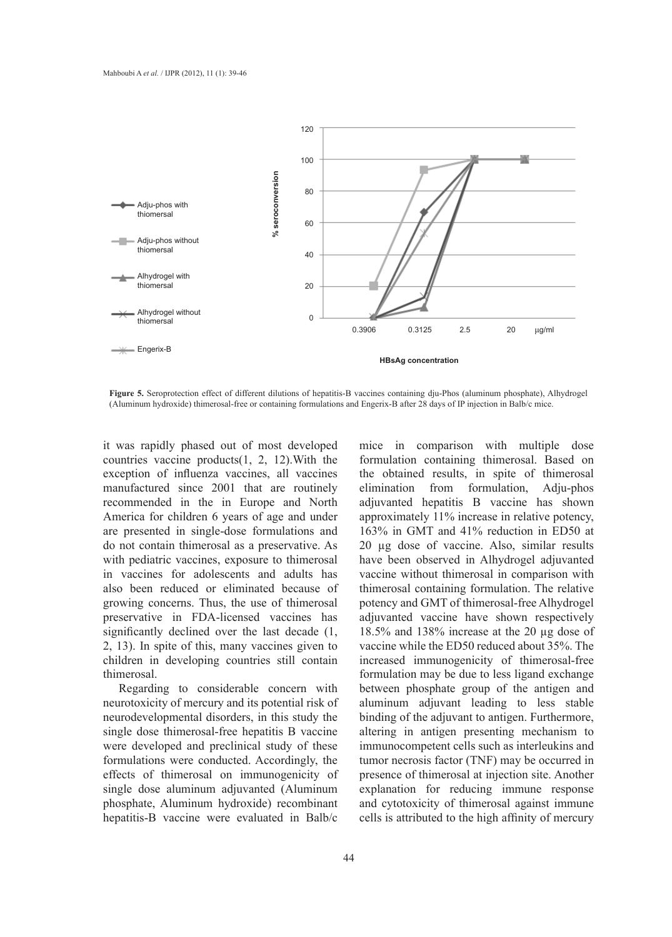

**Figure 5.** Seroprotection effect of different dilutions of hepatitis-B vaccines containing dju-Phos (aluminum phosphate), Alhydrogel (Aluminum hydroxide) thimerosal-free or containing formulations and Engerix-B after 28 days of IP injection in Balb/c mice.

it was rapidly phased out of most developed countries vaccine products(1, 2, 12).With the exception of influenza vaccines, all vaccines manufactured since 2001 that are routinely recommended in the in Europe and North America for children 6 years of age and under are presented in single-dose formulations and do not contain thimerosal as a preservative. As with pediatric vaccines, exposure to thimerosal in vaccines for adolescents and adults has also been reduced or eliminated because of growing concerns. Thus, the use of thimerosal preservative in FDA-licensed vaccines has significantly declined over the last decade (1, 2, 13). In spite of this, many vaccines given to children in developing countries still contain thimerosal.

Regarding to considerable concern with neurotoxicity of mercury and its potential risk of neurodevelopmental disorders, in this study the single dose thimerosal-free hepatitis B vaccine were developed and preclinical study of these formulations were conducted. Accordingly, the effects of thimerosal on immunogenicity of single dose aluminum adjuvanted (Aluminum phosphate, Aluminum hydroxide) recombinant hepatitis-B vaccine were evaluated in Balb/c

mice in comparison with multiple dose formulation containing thimerosal. Based on the obtained results, in spite of thimerosal elimination from formulation, Adju-phos adjuvanted hepatitis B vaccine has shown approximately 11% increase in relative potency, 163% in GMT and 41% reduction in ED50 at 20 µg dose of vaccine. Also, similar results have been observed in Alhydrogel adjuvanted vaccine without thimerosal in comparison with thimerosal containing formulation. The relative potency and GMT of thimerosal-free Alhydrogel adjuvanted vaccine have shown respectively 18.5% and 138% increase at the 20 µg dose of vaccine while the ED50 reduced about 35%. The increased immunogenicity of thimerosal-free formulation may be due to less ligand exchange between phosphate group of the antigen and aluminum adjuvant leading to less stable binding of the adjuvant to antigen. Furthermore, altering in antigen presenting mechanism to immunocompetent cells such as interleukins and tumor necrosis factor (TNF) may be occurred in presence of thimerosal at injection site. Another explanation for reducing immune response and cytotoxicity of thimerosal against immune cells is attributed to the high affinity of mercury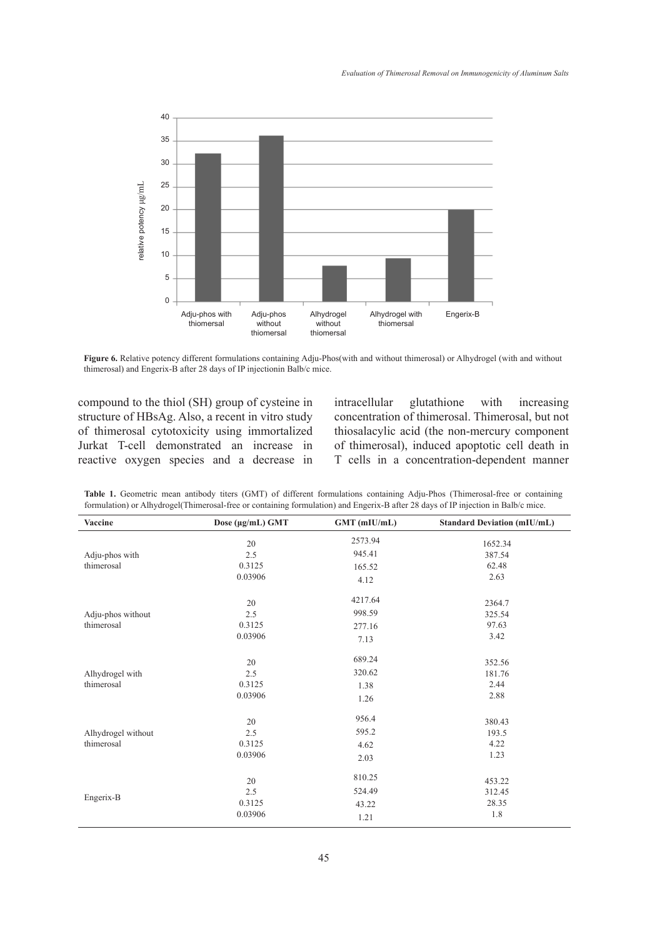

**Figure 6.** Relative potency different formulations containing Adju-Phos(with and without thimerosal) or Alhydrogel (with and without thimerosal) and Engerix-B after 28 days of IP injectionin Balb/c mice.

compound to the thiol (SH) group of cysteine in structure of HBsAg. Also, a recent in vitro study of thimerosal cytotoxicity using immortalized Jurkat T-cell demonstrated an increase in reactive oxygen species and a decrease in intracellular glutathione with increasing concentration of thimerosal. Thimerosal, but not thiosalacylic acid (the non-mercury component of thimerosal), induced apoptotic cell death in T cells in a concentration-dependent manner

**Table 1.** Geometric mean antibody titers (GMT) of different formulations containing Adju-Phos (Thimerosal-free or containing formulation) or Alhydrogel(Thimerosal-free or containing formulation) and Engerix-B after 28 days of IP injection in Balb/c mice.

| Vaccine                          | Dose (µg/mL) GMT | GMT (mIU/mL) | <b>Standard Deviation (mIU/mL)</b> |
|----------------------------------|------------------|--------------|------------------------------------|
| Adju-phos with<br>thimerosal     | 20               | 2573.94      | 1652.34                            |
|                                  | 2.5              | 945.41       | 387.54                             |
|                                  | 0.3125           | 165.52       | 62.48                              |
|                                  | 0.03906          | 4.12         | 2.63                               |
| Adju-phos without<br>thimerosal  | 20               | 4217.64      | 2364.7                             |
|                                  | 2.5              | 998.59       | 325.54                             |
|                                  | 0.3125           | 277.16       | 97.63                              |
|                                  | 0.03906          | 7.13         | 3.42                               |
| Alhydrogel with<br>thimerosal    | 20               | 689.24       | 352.56                             |
|                                  | 2.5              | 320.62       | 181.76                             |
|                                  | 0.3125           | 1.38         | 2.44                               |
|                                  | 0.03906          | 1.26         | 2.88                               |
| Alhydrogel without<br>thimerosal | 20               | 956.4        | 380.43                             |
|                                  | 2.5              | 595.2        | 193.5                              |
|                                  | 0.3125           | 4.62         | 4.22                               |
|                                  | 0.03906          | 2.03         | 1.23                               |
| Engerix-B                        | 20               | 810.25       | 453.22                             |
|                                  | 2.5              | 524.49       | 312.45                             |
|                                  | 0.3125           | 43.22        | 28.35                              |
|                                  | 0.03906          | 1.21         | 1.8                                |